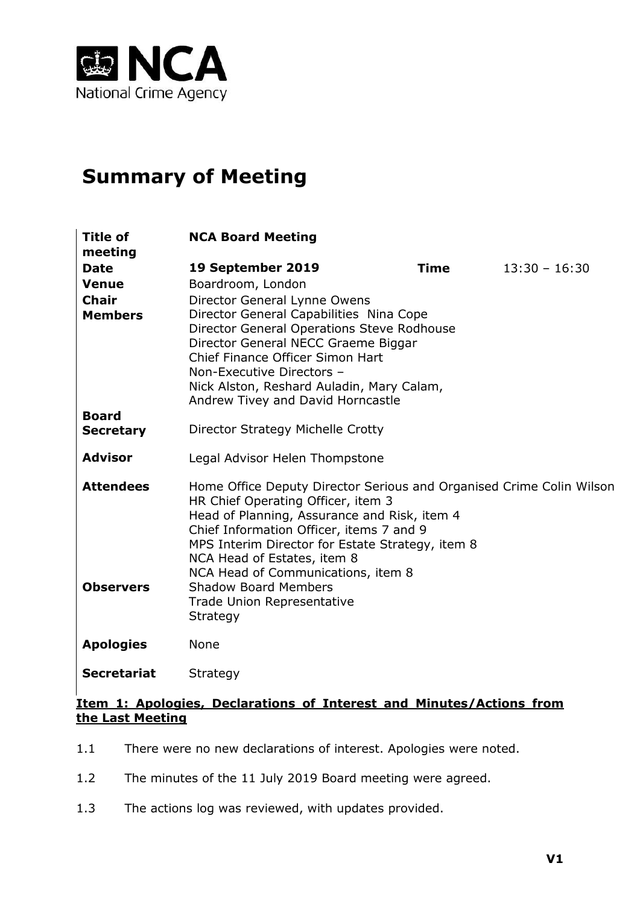

# **Summary of Meeting**

| <b>Title of</b>                      | <b>NCA Board Meeting</b>                                                                                                                                                                                                                                                                                                                                       |             |                 |
|--------------------------------------|----------------------------------------------------------------------------------------------------------------------------------------------------------------------------------------------------------------------------------------------------------------------------------------------------------------------------------------------------------------|-------------|-----------------|
| meeting                              |                                                                                                                                                                                                                                                                                                                                                                |             |                 |
| <b>Date</b>                          | 19 September 2019                                                                                                                                                                                                                                                                                                                                              | <b>Time</b> | $13:30 - 16:30$ |
| <b>Venue</b>                         | Boardroom, London                                                                                                                                                                                                                                                                                                                                              |             |                 |
| <b>Chair</b>                         | Director General Lynne Owens                                                                                                                                                                                                                                                                                                                                   |             |                 |
| <b>Members</b>                       | Director General Capabilities Nina Cope<br>Director General Operations Steve Rodhouse<br>Director General NECC Graeme Biggar<br>Chief Finance Officer Simon Hart<br>Non-Executive Directors -<br>Nick Alston, Reshard Auladin, Mary Calam,<br>Andrew Tivey and David Horncastle                                                                                |             |                 |
| <b>Board</b><br><b>Secretary</b>     | Director Strategy Michelle Crotty                                                                                                                                                                                                                                                                                                                              |             |                 |
| <b>Advisor</b>                       | Legal Advisor Helen Thompstone                                                                                                                                                                                                                                                                                                                                 |             |                 |
| <b>Attendees</b><br><b>Observers</b> | Home Office Deputy Director Serious and Organised Crime Colin Wilson<br>HR Chief Operating Officer, item 3<br>Head of Planning, Assurance and Risk, item 4<br>Chief Information Officer, items 7 and 9<br>MPS Interim Director for Estate Strategy, item 8<br>NCA Head of Estates, item 8<br>NCA Head of Communications, item 8<br><b>Shadow Board Members</b> |             |                 |
|                                      | Trade Union Representative<br>Strategy                                                                                                                                                                                                                                                                                                                         |             |                 |
| <b>Apologies</b>                     | None                                                                                                                                                                                                                                                                                                                                                           |             |                 |
| <b>Secretariat</b>                   | Strategy                                                                                                                                                                                                                                                                                                                                                       |             |                 |

#### **Item 1: Apologies, Declarations of Interest and Minutes/Actions from the Last Meeting**

- 1.1 There were no new declarations of interest. Apologies were noted.
- 1.2 The minutes of the 11 July 2019 Board meeting were agreed.
- 1.3 The actions log was reviewed, with updates provided.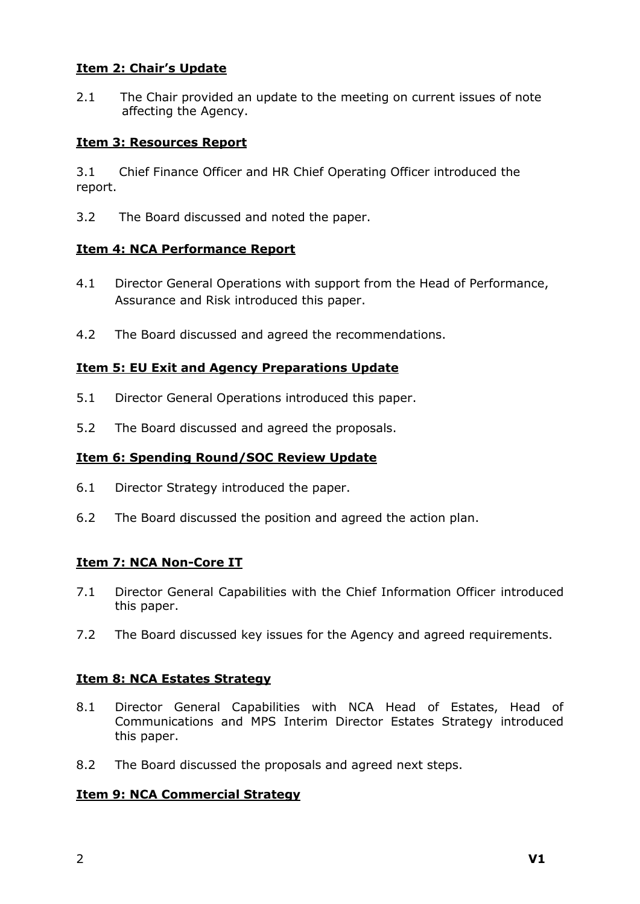#### **Item 2: Chair's Update**

2.1 The Chair provided an update to the meeting on current issues of note affecting the Agency.

#### **Item 3: Resources Report**

3.1 Chief Finance Officer and HR Chief Operating Officer introduced the report.

3.2 The Board discussed and noted the paper.

#### **Item 4: NCA Performance Report**

- 4.1 Director General Operations with support from the Head of Performance, Assurance and Risk introduced this paper.
- 4.2 The Board discussed and agreed the recommendations.

# **Item 5: EU Exit and Agency Preparations Update**

- 5.1 Director General Operations introduced this paper.
- 5.2 The Board discussed and agreed the proposals.

# **Item 6: Spending Round/SOC Review Update**

- 6.1 Director Strategy introduced the paper.
- 6.2 The Board discussed the position and agreed the action plan.

# **Item 7: NCA Non-Core IT**

- 7.1 Director General Capabilities with the Chief Information Officer introduced this paper.
- 7.2 The Board discussed key issues for the Agency and agreed requirements.

# **Item 8: NCA Estates Strategy**

- 8.1 Director General Capabilities with NCA Head of Estates, Head of Communications and MPS Interim Director Estates Strategy introduced this paper.
- 8.2 The Board discussed the proposals and agreed next steps.

# **Item 9: NCA Commercial Strategy**